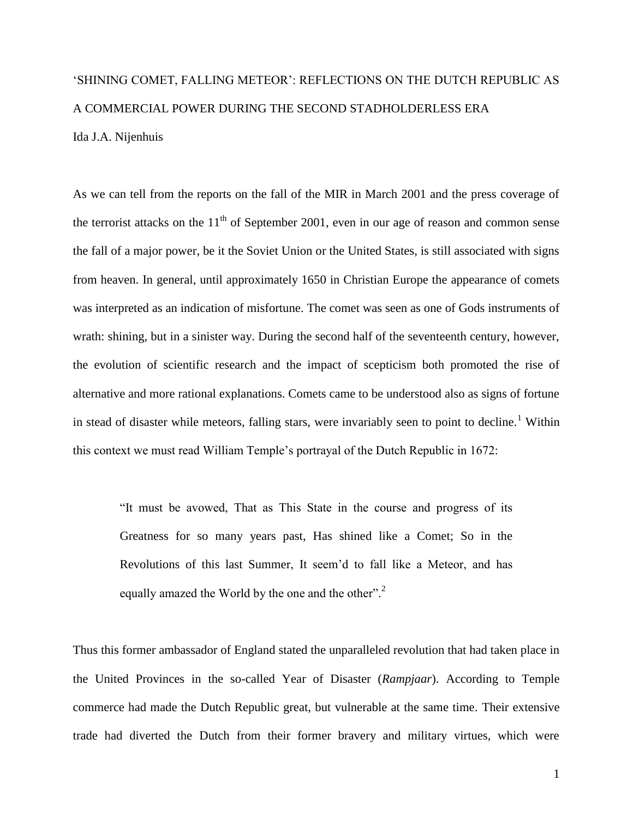# 'SHINING COMET, FALLING METEOR': REFLECTIONS ON THE DUTCH REPUBLIC AS A COMMERCIAL POWER DURING THE SECOND STADHOLDERLESS ERA Ida J.A. Nijenhuis

As we can tell from the reports on the fall of the MIR in March 2001 and the press coverage of the terrorist attacks on the  $11<sup>th</sup>$  of September 2001, even in our age of reason and common sense the fall of a major power, be it the Soviet Union or the United States, is still associated with signs from heaven. In general, until approximately 1650 in Christian Europe the appearance of comets was interpreted as an indication of misfortune. The comet was seen as one of Gods instruments of wrath: shining, but in a sinister way. During the second half of the seventeenth century, however, the evolution of scientific research and the impact of scepticism both promoted the rise of alternative and more rational explanations. Comets came to be understood also as signs of fortune in stead of disaster while meteors, falling stars, were invariably seen to point to decline.<sup>1</sup> Within this context we must read William Temple's portrayal of the Dutch Republic in 1672:

"It must be avowed, That as This State in the course and progress of its Greatness for so many years past, Has shined like a Comet; So in the Revolutions of this last Summer, It seem'd to fall like a Meteor, and has equally amazed the World by the one and the other".<sup>2</sup>

Thus this former ambassador of England stated the unparalleled revolution that had taken place in the United Provinces in the so-called Year of Disaster (*Rampjaar*). According to Temple commerce had made the Dutch Republic great, but vulnerable at the same time. Their extensive trade had diverted the Dutch from their former bravery and military virtues, which were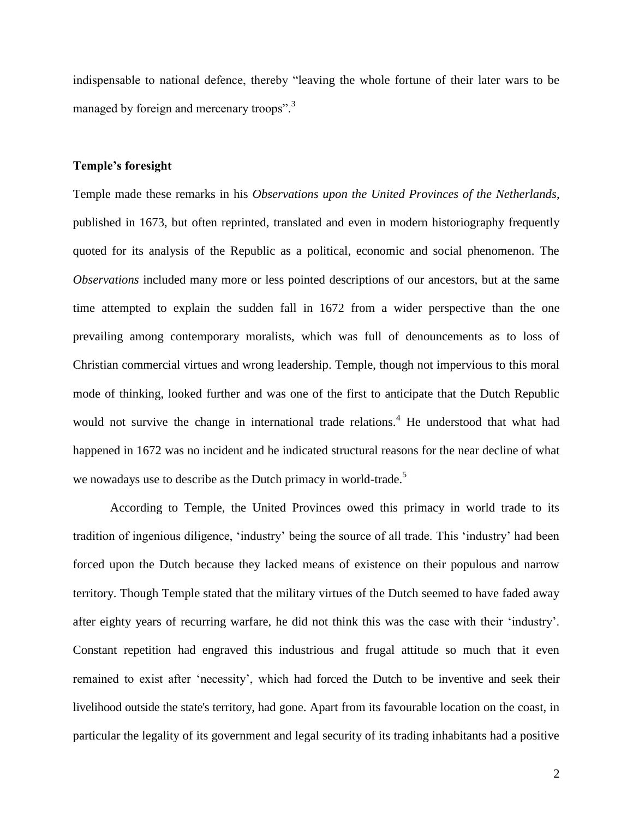indispensable to national defence, thereby "leaving the whole fortune of their later wars to be managed by foreign and mercenary troops".<sup>3</sup>

#### **Temple's foresight**

Temple made these remarks in his *Observations upon the United Provinces of the Netherlands*, published in 1673, but often reprinted, translated and even in modern historiography frequently quoted for its analysis of the Republic as a political, economic and social phenomenon. The *Observations* included many more or less pointed descriptions of our ancestors, but at the same time attempted to explain the sudden fall in 1672 from a wider perspective than the one prevailing among contemporary moralists, which was full of denouncements as to loss of Christian commercial virtues and wrong leadership. Temple, though not impervious to this moral mode of thinking, looked further and was one of the first to anticipate that the Dutch Republic would not survive the change in international trade relations.<sup>4</sup> He understood that what had happened in 1672 was no incident and he indicated structural reasons for the near decline of what we nowadays use to describe as the Dutch primacy in world-trade.<sup>5</sup>

According to Temple, the United Provinces owed this primacy in world trade to its tradition of ingenious diligence, 'industry' being the source of all trade. This 'industry' had been forced upon the Dutch because they lacked means of existence on their populous and narrow territory. Though Temple stated that the military virtues of the Dutch seemed to have faded away after eighty years of recurring warfare, he did not think this was the case with their 'industry'. Constant repetition had engraved this industrious and frugal attitude so much that it even remained to exist after 'necessity', which had forced the Dutch to be inventive and seek their livelihood outside the state's territory, had gone. Apart from its favourable location on the coast, in particular the legality of its government and legal security of its trading inhabitants had a positive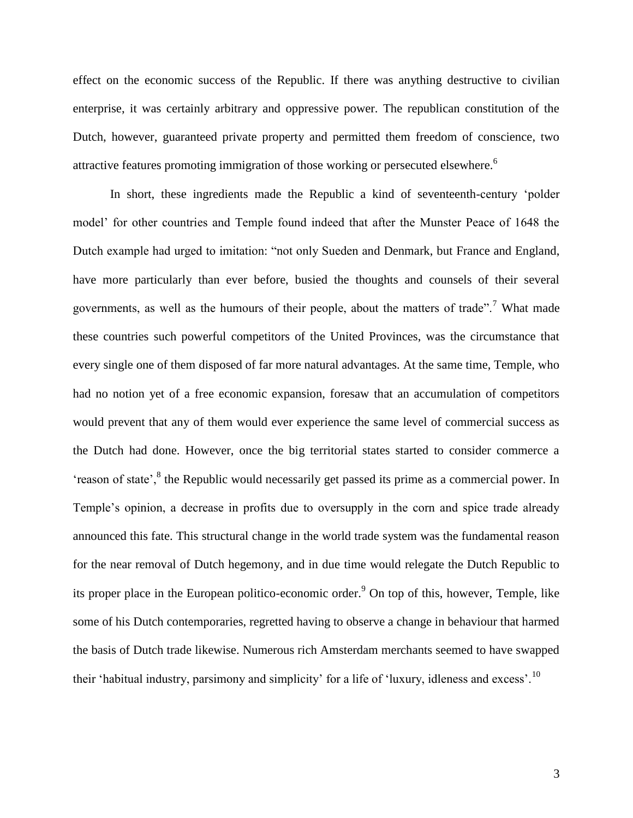effect on the economic success of the Republic. If there was anything destructive to civilian enterprise, it was certainly arbitrary and oppressive power. The republican constitution of the Dutch, however, guaranteed private property and permitted them freedom of conscience, two attractive features promoting immigration of those working or persecuted elsewhere.<sup>6</sup>

In short, these ingredients made the Republic a kind of seventeenth-century 'polder model' for other countries and Temple found indeed that after the Munster Peace of 1648 the Dutch example had urged to imitation: "not only Sueden and Denmark, but France and England, have more particularly than ever before, busied the thoughts and counsels of their several governments, as well as the humours of their people, about the matters of trade".<sup>7</sup> What made these countries such powerful competitors of the United Provinces, was the circumstance that every single one of them disposed of far more natural advantages. At the same time, Temple, who had no notion yet of a free economic expansion, foresaw that an accumulation of competitors would prevent that any of them would ever experience the same level of commercial success as the Dutch had done. However, once the big territorial states started to consider commerce a 'reason of state',<sup>8</sup> the Republic would necessarily get passed its prime as a commercial power. In Temple's opinion, a decrease in profits due to oversupply in the corn and spice trade already announced this fate. This structural change in the world trade system was the fundamental reason for the near removal of Dutch hegemony, and in due time would relegate the Dutch Republic to its proper place in the European politico-economic order.<sup>9</sup> On top of this, however, Temple, like some of his Dutch contemporaries, regretted having to observe a change in behaviour that harmed the basis of Dutch trade likewise. Numerous rich Amsterdam merchants seemed to have swapped their 'habitual industry, parsimony and simplicity' for a life of 'luxury, idleness and excess'.<sup>10</sup>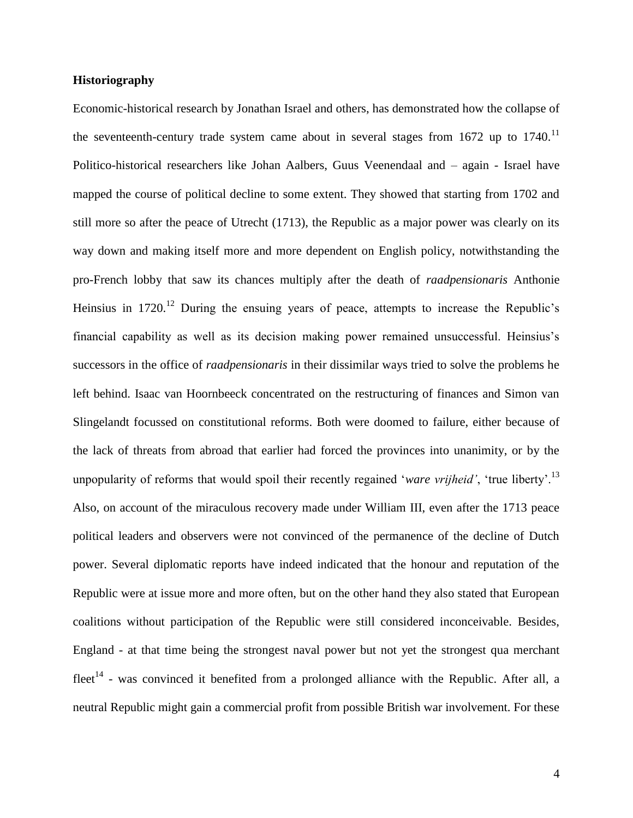## **Historiography**

Economic-historical research by Jonathan Israel and others, has demonstrated how the collapse of the seventeenth-century trade system came about in several stages from 1672 up to 1740.<sup>11</sup> Politico-historical researchers like Johan Aalbers, Guus Veenendaal and – again - Israel have mapped the course of political decline to some extent. They showed that starting from 1702 and still more so after the peace of Utrecht (1713), the Republic as a major power was clearly on its way down and making itself more and more dependent on English policy, notwithstanding the pro-French lobby that saw its chances multiply after the death of *raadpensionaris* Anthonie Heinsius in  $1720$ <sup>12</sup> During the ensuing years of peace, attempts to increase the Republic's financial capability as well as its decision making power remained unsuccessful. Heinsius's successors in the office of *raadpensionaris* in their dissimilar ways tried to solve the problems he left behind. Isaac van Hoornbeeck concentrated on the restructuring of finances and Simon van Slingelandt focussed on constitutional reforms. Both were doomed to failure, either because of the lack of threats from abroad that earlier had forced the provinces into unanimity, or by the unpopularity of reforms that would spoil their recently regained '*ware vrijheid'*, 'true liberty'.<sup>13</sup> Also, on account of the miraculous recovery made under William III, even after the 1713 peace political leaders and observers were not convinced of the permanence of the decline of Dutch power. Several diplomatic reports have indeed indicated that the honour and reputation of the Republic were at issue more and more often, but on the other hand they also stated that European coalitions without participation of the Republic were still considered inconceivable. Besides, England - at that time being the strongest naval power but not yet the strongest qua merchant fleet<sup>14</sup> - was convinced it benefited from a prolonged alliance with the Republic. After all, a neutral Republic might gain a commercial profit from possible British war involvement. For these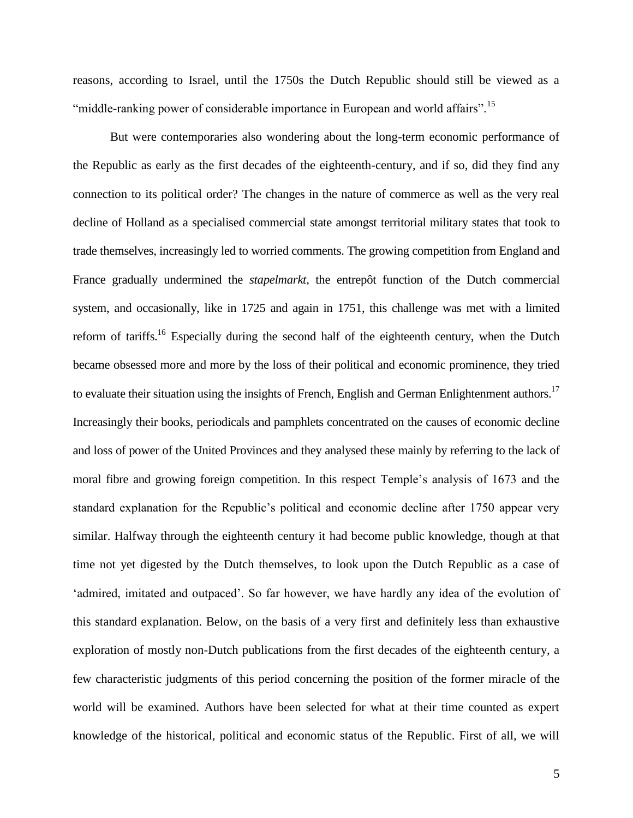reasons, according to Israel, until the 1750s the Dutch Republic should still be viewed as a "middle-ranking power of considerable importance in European and world affairs".<sup>15</sup>

But were contemporaries also wondering about the long-term economic performance of the Republic as early as the first decades of the eighteenth-century, and if so, did they find any connection to its political order? The changes in the nature of commerce as well as the very real decline of Holland as a specialised commercial state amongst territorial military states that took to trade themselves, increasingly led to worried comments. The growing competition from England and France gradually undermined the *stapelmarkt*, the entrepôt function of the Dutch commercial system, and occasionally, like in 1725 and again in 1751, this challenge was met with a limited reform of tariffs.<sup>16</sup> Especially during the second half of the eighteenth century, when the Dutch became obsessed more and more by the loss of their political and economic prominence, they tried to evaluate their situation using the insights of French, English and German Enlightenment authors.<sup>17</sup> Increasingly their books, periodicals and pamphlets concentrated on the causes of economic decline and loss of power of the United Provinces and they analysed these mainly by referring to the lack of moral fibre and growing foreign competition. In this respect Temple's analysis of 1673 and the standard explanation for the Republic's political and economic decline after 1750 appear very similar. Halfway through the eighteenth century it had become public knowledge, though at that time not yet digested by the Dutch themselves, to look upon the Dutch Republic as a case of 'admired, imitated and outpaced'. So far however, we have hardly any idea of the evolution of this standard explanation. Below, on the basis of a very first and definitely less than exhaustive exploration of mostly non-Dutch publications from the first decades of the eighteenth century, a few characteristic judgments of this period concerning the position of the former miracle of the world will be examined. Authors have been selected for what at their time counted as expert knowledge of the historical, political and economic status of the Republic. First of all, we will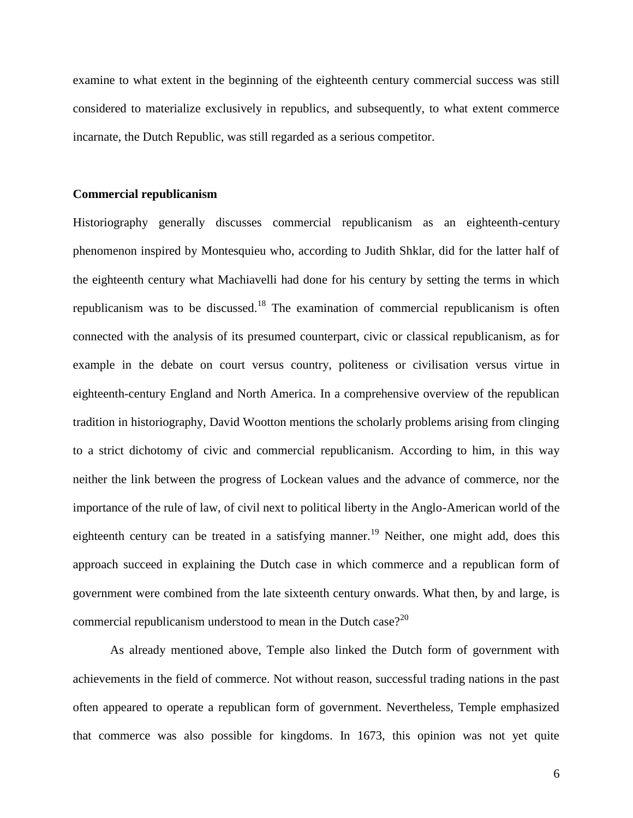examine to what extent in the beginning of the eighteenth century commercial success was still considered to materialize exclusively in republics, and subsequently, to what extent commerce incarnate, the Dutch Republic, was still regarded as a serious competitor.

#### **Commercial republicanism**

Historiography generally discusses commercial republicanism as an eighteenth-century phenomenon inspired by Montesquieu who, according to Judith Shklar, did for the latter half of the eighteenth century what Machiavelli had done for his century by setting the terms in which republicanism was to be discussed.<sup>18</sup> The examination of commercial republicanism is often connected with the analysis of its presumed counterpart, civic or classical republicanism, as for example in the debate on court versus country, politeness or civilisation versus virtue in eighteenth-century England and North America. In a comprehensive overview of the republican tradition in historiography, David Wootton mentions the scholarly problems arising from clinging to a strict dichotomy of civic and commercial republicanism. According to him, in this way neither the link between the progress of Lockean values and the advance of commerce, nor the importance of the rule of law, of civil next to political liberty in the Anglo-American world of the eighteenth century can be treated in a satisfying manner.<sup>19</sup> Neither, one might add, does this approach succeed in explaining the Dutch case in which commerce and a republican form of government were combined from the late sixteenth century onwards. What then, by and large, is commercial republicanism understood to mean in the Dutch case $?^{20}$ 

As already mentioned above, Temple also linked the Dutch form of government with achievements in the field of commerce. Not without reason, successful trading nations in the past often appeared to operate a republican form of government. Nevertheless, Temple emphasized that commerce was also possible for kingdoms. In 1673, this opinion was not yet quite

6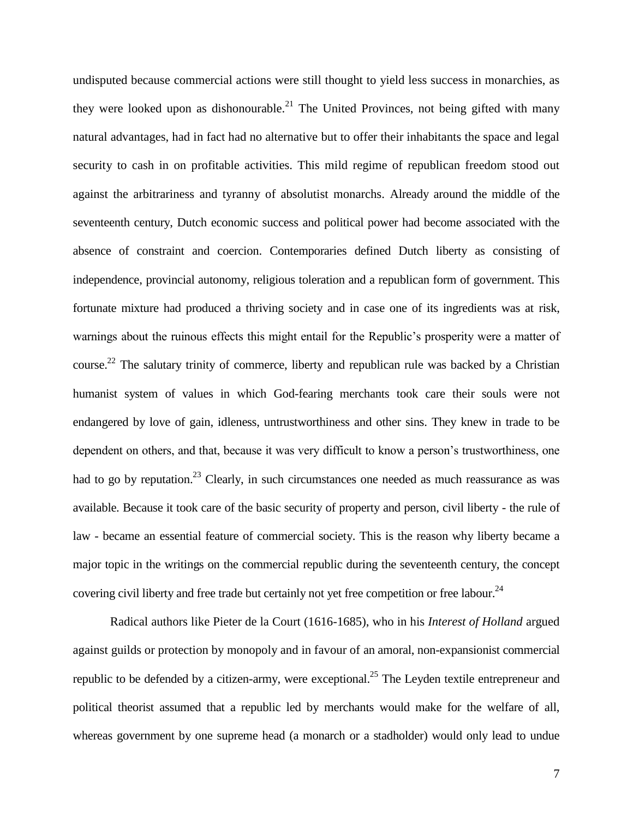undisputed because commercial actions were still thought to yield less success in monarchies, as they were looked upon as dishonourable.<sup>21</sup> The United Provinces, not being gifted with many natural advantages, had in fact had no alternative but to offer their inhabitants the space and legal security to cash in on profitable activities. This mild regime of republican freedom stood out against the arbitrariness and tyranny of absolutist monarchs. Already around the middle of the seventeenth century, Dutch economic success and political power had become associated with the absence of constraint and coercion. Contemporaries defined Dutch liberty as consisting of independence, provincial autonomy, religious toleration and a republican form of government. This fortunate mixture had produced a thriving society and in case one of its ingredients was at risk, warnings about the ruinous effects this might entail for the Republic's prosperity were a matter of course.<sup>22</sup> The salutary trinity of commerce, liberty and republican rule was backed by a Christian humanist system of values in which God-fearing merchants took care their souls were not endangered by love of gain, idleness, untrustworthiness and other sins. They knew in trade to be dependent on others, and that, because it was very difficult to know a person's trustworthiness, one had to go by reputation.<sup>23</sup> Clearly, in such circumstances one needed as much reassurance as was available. Because it took care of the basic security of property and person, civil liberty - the rule of law - became an essential feature of commercial society. This is the reason why liberty became a major topic in the writings on the commercial republic during the seventeenth century, the concept covering civil liberty and free trade but certainly not yet free competition or free labour. $^{24}$ 

Radical authors like Pieter de la Court (1616-1685), who in his *Interest of Holland* argued against guilds or protection by monopoly and in favour of an amoral, non-expansionist commercial republic to be defended by a citizen-army, were exceptional.<sup>25</sup> The Leyden textile entrepreneur and political theorist assumed that a republic led by merchants would make for the welfare of all, whereas government by one supreme head (a monarch or a stadholder) would only lead to undue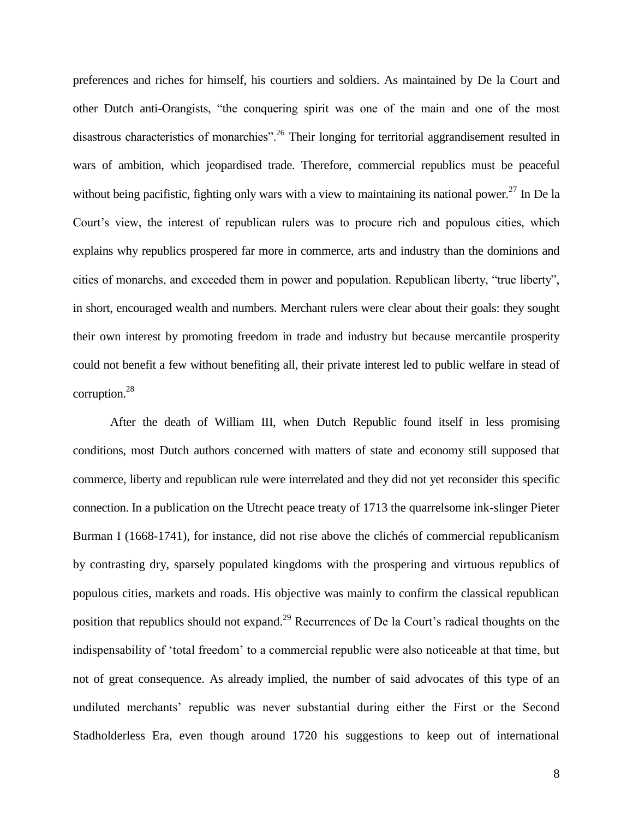preferences and riches for himself, his courtiers and soldiers. As maintained by De la Court and other Dutch anti-Orangists, "the conquering spirit was one of the main and one of the most disastrous characteristics of monarchies".<sup>26</sup> Their longing for territorial aggrandisement resulted in wars of ambition, which jeopardised trade. Therefore, commercial republics must be peaceful without being pacifistic, fighting only wars with a view to maintaining its national power.<sup>27</sup> In De la Court's view, the interest of republican rulers was to procure rich and populous cities, which explains why republics prospered far more in commerce, arts and industry than the dominions and cities of monarchs, and exceeded them in power and population. Republican liberty, "true liberty", in short, encouraged wealth and numbers. Merchant rulers were clear about their goals: they sought their own interest by promoting freedom in trade and industry but because mercantile prosperity could not benefit a few without benefiting all, their private interest led to public welfare in stead of corruption.<sup>28</sup>

After the death of William III, when Dutch Republic found itself in less promising conditions, most Dutch authors concerned with matters of state and economy still supposed that commerce, liberty and republican rule were interrelated and they did not yet reconsider this specific connection. In a publication on the Utrecht peace treaty of 1713 the quarrelsome ink-slinger Pieter Burman I (1668-1741), for instance, did not rise above the clichés of commercial republicanism by contrasting dry, sparsely populated kingdoms with the prospering and virtuous republics of populous cities, markets and roads. His objective was mainly to confirm the classical republican position that republics should not expand.<sup>29</sup> Recurrences of De la Court's radical thoughts on the indispensability of 'total freedom' to a commercial republic were also noticeable at that time, but not of great consequence. As already implied, the number of said advocates of this type of an undiluted merchants' republic was never substantial during either the First or the Second Stadholderless Era, even though around 1720 his suggestions to keep out of international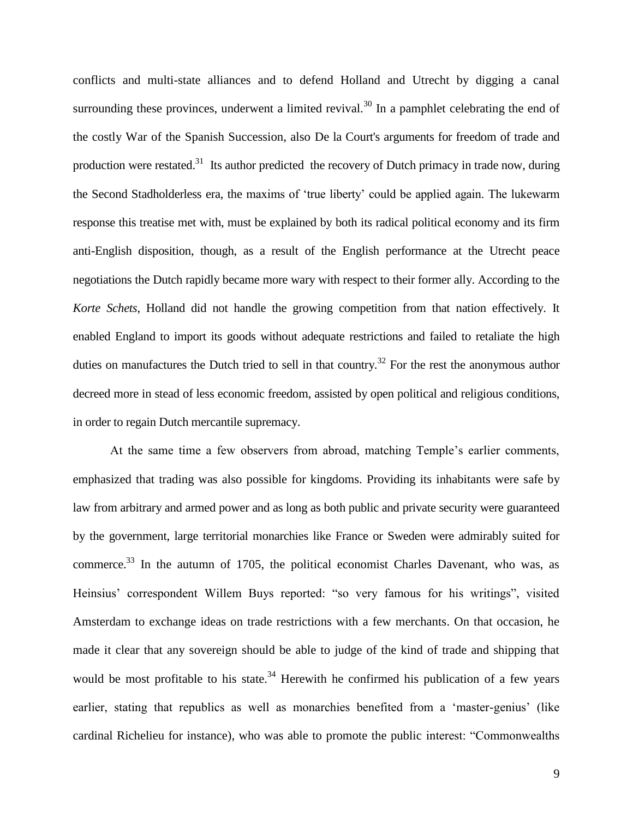conflicts and multi-state alliances and to defend Holland and Utrecht by digging a canal surrounding these provinces, underwent a limited revival.<sup>30</sup> In a pamphlet celebrating the end of the costly War of the Spanish Succession, also De la Court's arguments for freedom of trade and production were restated.<sup>31</sup> Its author predicted the recovery of Dutch primacy in trade now, during the Second Stadholderless era, the maxims of 'true liberty' could be applied again. The lukewarm response this treatise met with, must be explained by both its radical political economy and its firm anti-English disposition, though, as a result of the English performance at the Utrecht peace negotiations the Dutch rapidly became more wary with respect to their former ally. According to the *Korte Schets*, Holland did not handle the growing competition from that nation effectively. It enabled England to import its goods without adequate restrictions and failed to retaliate the high duties on manufactures the Dutch tried to sell in that country.<sup>32</sup> For the rest the anonymous author decreed more in stead of less economic freedom, assisted by open political and religious conditions, in order to regain Dutch mercantile supremacy.

At the same time a few observers from abroad, matching Temple's earlier comments, emphasized that trading was also possible for kingdoms. Providing its inhabitants were safe by law from arbitrary and armed power and as long as both public and private security were guaranteed by the government, large territorial monarchies like France or Sweden were admirably suited for commerce.<sup>33</sup> In the autumn of 1705, the political economist Charles Davenant, who was, as Heinsius' correspondent Willem Buys reported: "so very famous for his writings", visited Amsterdam to exchange ideas on trade restrictions with a few merchants. On that occasion, he made it clear that any sovereign should be able to judge of the kind of trade and shipping that would be most profitable to his state.<sup>34</sup> Herewith he confirmed his publication of a few years earlier, stating that republics as well as monarchies benefited from a 'master-genius' (like cardinal Richelieu for instance), who was able to promote the public interest: "Commonwealths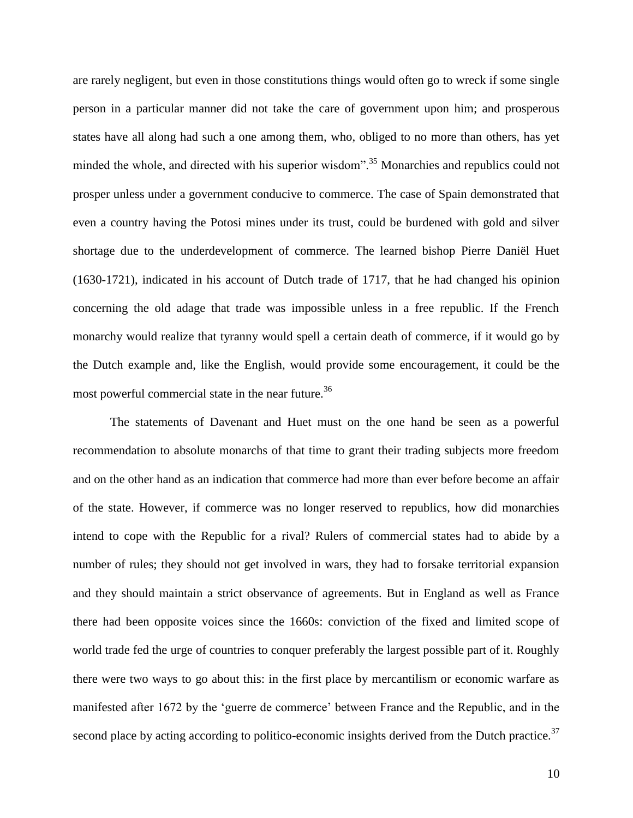are rarely negligent, but even in those constitutions things would often go to wreck if some single person in a particular manner did not take the care of government upon him; and prosperous states have all along had such a one among them, who, obliged to no more than others, has yet minded the whole, and directed with his superior wisdom".<sup>35</sup> Monarchies and republics could not prosper unless under a government conducive to commerce. The case of Spain demonstrated that even a country having the Potosi mines under its trust, could be burdened with gold and silver shortage due to the underdevelopment of commerce. The learned bishop Pierre Daniël Huet (1630-1721), indicated in his account of Dutch trade of 1717, that he had changed his opinion concerning the old adage that trade was impossible unless in a free republic. If the French monarchy would realize that tyranny would spell a certain death of commerce, if it would go by the Dutch example and, like the English, would provide some encouragement, it could be the most powerful commercial state in the near future.<sup>36</sup>

The statements of Davenant and Huet must on the one hand be seen as a powerful recommendation to absolute monarchs of that time to grant their trading subjects more freedom and on the other hand as an indication that commerce had more than ever before become an affair of the state. However, if commerce was no longer reserved to republics, how did monarchies intend to cope with the Republic for a rival? Rulers of commercial states had to abide by a number of rules; they should not get involved in wars, they had to forsake territorial expansion and they should maintain a strict observance of agreements. But in England as well as France there had been opposite voices since the 1660s: conviction of the fixed and limited scope of world trade fed the urge of countries to conquer preferably the largest possible part of it. Roughly there were two ways to go about this: in the first place by mercantilism or economic warfare as manifested after 1672 by the 'guerre de commerce' between France and the Republic, and in the second place by acting according to politico-economic insights derived from the Dutch practice.<sup>37</sup>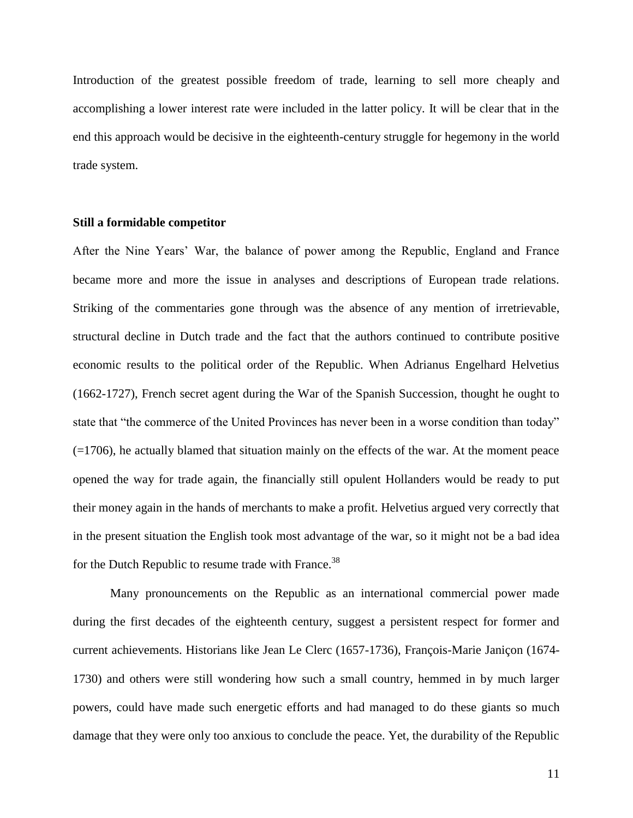Introduction of the greatest possible freedom of trade, learning to sell more cheaply and accomplishing a lower interest rate were included in the latter policy. It will be clear that in the end this approach would be decisive in the eighteenth-century struggle for hegemony in the world trade system.

## **Still a formidable competitor**

After the Nine Years' War, the balance of power among the Republic, England and France became more and more the issue in analyses and descriptions of European trade relations. Striking of the commentaries gone through was the absence of any mention of irretrievable, structural decline in Dutch trade and the fact that the authors continued to contribute positive economic results to the political order of the Republic. When Adrianus Engelhard Helvetius (1662-1727), French secret agent during the War of the Spanish Succession, thought he ought to state that "the commerce of the United Provinces has never been in a worse condition than today"  $(=1706)$ , he actually blamed that situation mainly on the effects of the war. At the moment peace opened the way for trade again, the financially still opulent Hollanders would be ready to put their money again in the hands of merchants to make a profit. Helvetius argued very correctly that in the present situation the English took most advantage of the war, so it might not be a bad idea for the Dutch Republic to resume trade with France.<sup>38</sup>

Many pronouncements on the Republic as an international commercial power made during the first decades of the eighteenth century, suggest a persistent respect for former and current achievements. Historians like Jean Le Clerc (1657-1736), François-Marie Janiçon (1674- 1730) and others were still wondering how such a small country, hemmed in by much larger powers, could have made such energetic efforts and had managed to do these giants so much damage that they were only too anxious to conclude the peace. Yet, the durability of the Republic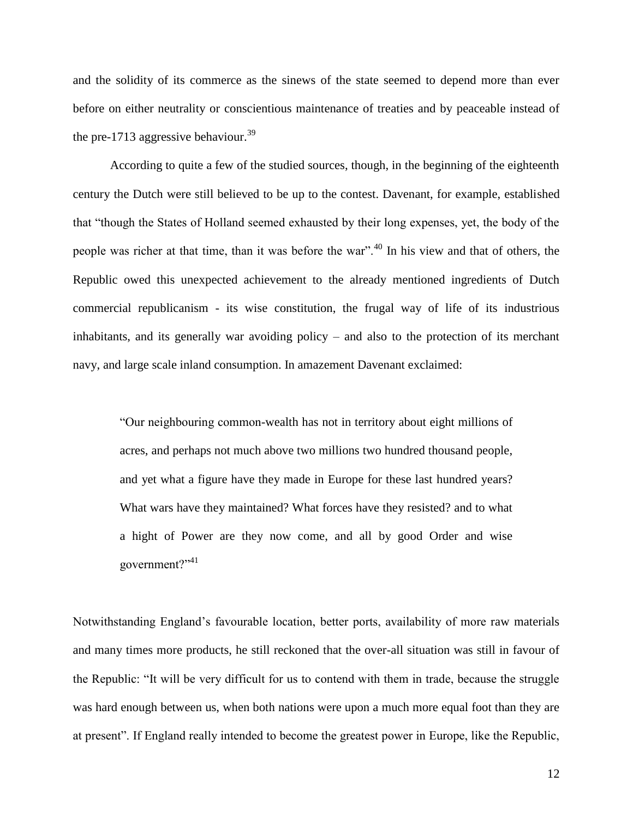and the solidity of its commerce as the sinews of the state seemed to depend more than ever before on either neutrality or conscientious maintenance of treaties and by peaceable instead of the pre-1713 aggressive behaviour.<sup>39</sup>

According to quite a few of the studied sources, though, in the beginning of the eighteenth century the Dutch were still believed to be up to the contest. Davenant, for example, established that "though the States of Holland seemed exhausted by their long expenses, yet, the body of the people was richer at that time, than it was before the war".<sup>40</sup> In his view and that of others, the Republic owed this unexpected achievement to the already mentioned ingredients of Dutch commercial republicanism - its wise constitution, the frugal way of life of its industrious inhabitants, and its generally war avoiding policy – and also to the protection of its merchant navy, and large scale inland consumption. In amazement Davenant exclaimed:

"Our neighbouring common-wealth has not in territory about eight millions of acres, and perhaps not much above two millions two hundred thousand people, and yet what a figure have they made in Europe for these last hundred years? What wars have they maintained? What forces have they resisted? and to what a hight of Power are they now come, and all by good Order and wise government?"<sup>41</sup>

Notwithstanding England's favourable location, better ports, availability of more raw materials and many times more products, he still reckoned that the over-all situation was still in favour of the Republic: "It will be very difficult for us to contend with them in trade, because the struggle was hard enough between us, when both nations were upon a much more equal foot than they are at present". If England really intended to become the greatest power in Europe, like the Republic,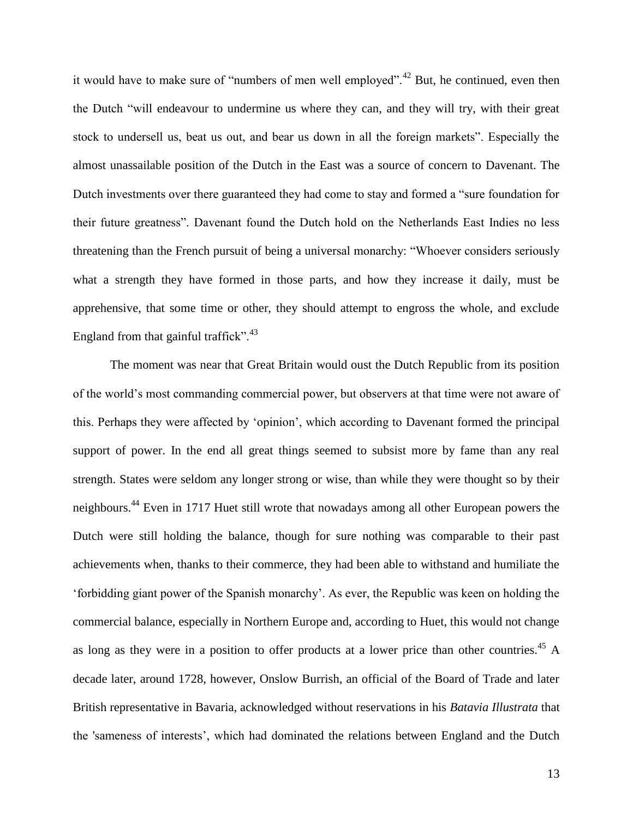it would have to make sure of "numbers of men well employed".<sup>42</sup> But, he continued, even then the Dutch "will endeavour to undermine us where they can, and they will try, with their great stock to undersell us, beat us out, and bear us down in all the foreign markets". Especially the almost unassailable position of the Dutch in the East was a source of concern to Davenant. The Dutch investments over there guaranteed they had come to stay and formed a "sure foundation for their future greatness". Davenant found the Dutch hold on the Netherlands East Indies no less threatening than the French pursuit of being a universal monarchy: "Whoever considers seriously what a strength they have formed in those parts, and how they increase it daily, must be apprehensive, that some time or other, they should attempt to engross the whole, and exclude England from that gainful traffick". $43$ 

The moment was near that Great Britain would oust the Dutch Republic from its position of the world's most commanding commercial power, but observers at that time were not aware of this. Perhaps they were affected by 'opinion', which according to Davenant formed the principal support of power. In the end all great things seemed to subsist more by fame than any real strength. States were seldom any longer strong or wise, than while they were thought so by their neighbours.<sup>44</sup> Even in 1717 Huet still wrote that nowadays among all other European powers the Dutch were still holding the balance, though for sure nothing was comparable to their past achievements when, thanks to their commerce, they had been able to withstand and humiliate the 'forbidding giant power of the Spanish monarchy'. As ever, the Republic was keen on holding the commercial balance, especially in Northern Europe and, according to Huet, this would not change as long as they were in a position to offer products at a lower price than other countries.<sup>45</sup> A decade later, around 1728, however, Onslow Burrish, an official of the Board of Trade and later British representative in Bavaria, acknowledged without reservations in his *Batavia Illustrata* that the 'sameness of interests', which had dominated the relations between England and the Dutch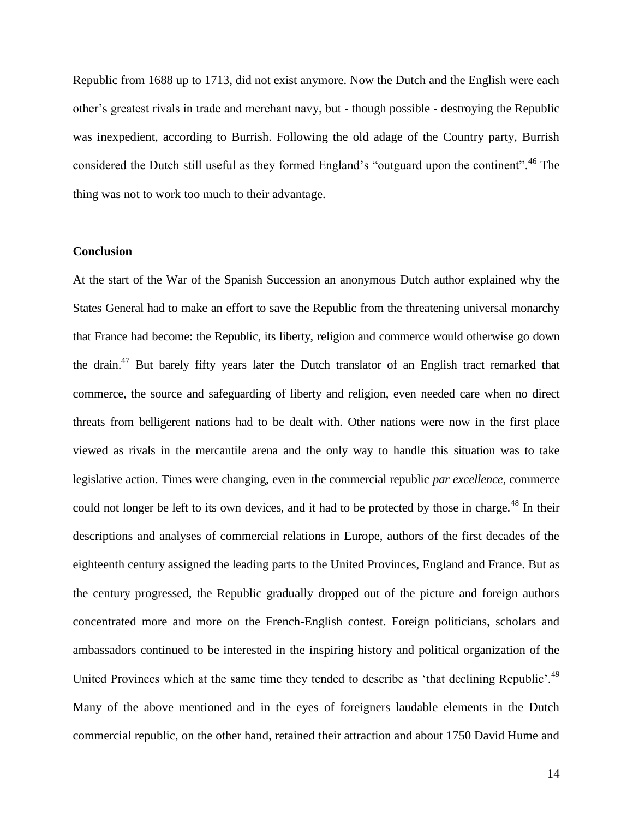Republic from 1688 up to 1713, did not exist anymore. Now the Dutch and the English were each other's greatest rivals in trade and merchant navy, but - though possible - destroying the Republic was inexpedient, according to Burrish. Following the old adage of the Country party, Burrish considered the Dutch still useful as they formed England's "outguard upon the continent".<sup>46</sup> The thing was not to work too much to their advantage.

# **Conclusion**

At the start of the War of the Spanish Succession an anonymous Dutch author explained why the States General had to make an effort to save the Republic from the threatening universal monarchy that France had become: the Republic, its liberty, religion and commerce would otherwise go down the drain.<sup>47</sup> But barely fifty years later the Dutch translator of an English tract remarked that commerce, the source and safeguarding of liberty and religion, even needed care when no direct threats from belligerent nations had to be dealt with. Other nations were now in the first place viewed as rivals in the mercantile arena and the only way to handle this situation was to take legislative action. Times were changing, even in the commercial republic *par excellence*, commerce could not longer be left to its own devices, and it had to be protected by those in charge.<sup>48</sup> In their descriptions and analyses of commercial relations in Europe, authors of the first decades of the eighteenth century assigned the leading parts to the United Provinces, England and France. But as the century progressed, the Republic gradually dropped out of the picture and foreign authors concentrated more and more on the French-English contest. Foreign politicians, scholars and ambassadors continued to be interested in the inspiring history and political organization of the United Provinces which at the same time they tended to describe as 'that declining Republic'.<sup>49</sup> Many of the above mentioned and in the eyes of foreigners laudable elements in the Dutch commercial republic, on the other hand, retained their attraction and about 1750 David Hume and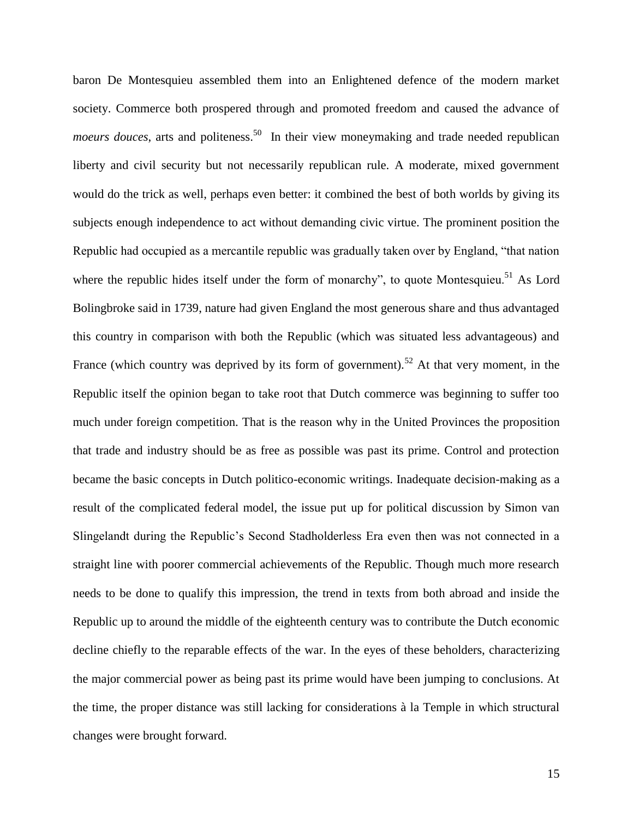baron De Montesquieu assembled them into an Enlightened defence of the modern market society. Commerce both prospered through and promoted freedom and caused the advance of *moeurs douces*, arts and politeness.<sup>50</sup> In their view moneymaking and trade needed republican liberty and civil security but not necessarily republican rule. A moderate, mixed government would do the trick as well, perhaps even better: it combined the best of both worlds by giving its subjects enough independence to act without demanding civic virtue. The prominent position the Republic had occupied as a mercantile republic was gradually taken over by England, "that nation where the republic hides itself under the form of monarchy", to quote Montesquieu.<sup>51</sup> As Lord Bolingbroke said in 1739, nature had given England the most generous share and thus advantaged this country in comparison with both the Republic (which was situated less advantageous) and France (which country was deprived by its form of government).<sup>52</sup> At that very moment, in the Republic itself the opinion began to take root that Dutch commerce was beginning to suffer too much under foreign competition. That is the reason why in the United Provinces the proposition that trade and industry should be as free as possible was past its prime. Control and protection became the basic concepts in Dutch politico-economic writings. Inadequate decision-making as a result of the complicated federal model, the issue put up for political discussion by Simon van Slingelandt during the Republic's Second Stadholderless Era even then was not connected in a straight line with poorer commercial achievements of the Republic. Though much more research needs to be done to qualify this impression, the trend in texts from both abroad and inside the Republic up to around the middle of the eighteenth century was to contribute the Dutch economic decline chiefly to the reparable effects of the war. In the eyes of these beholders, characterizing the major commercial power as being past its prime would have been jumping to conclusions. At the time, the proper distance was still lacking for considerations à la Temple in which structural changes were brought forward.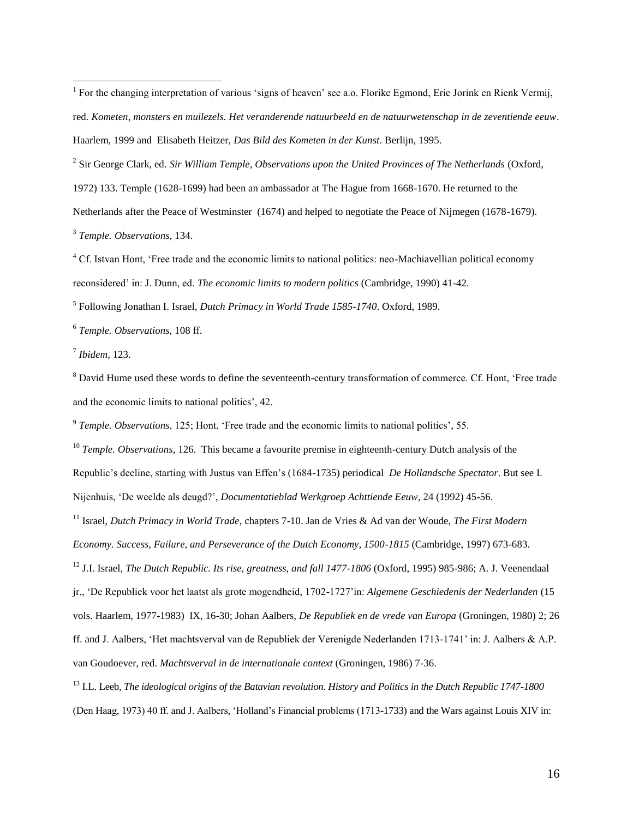<sup>1</sup> For the changing interpretation of various 'signs of heaven' see a.o. Florike Egmond, Eric Jorink en Rienk Vermij, red. *Kometen, monsters en muilezels. Het veranderende natuurbeeld en de natuurwetenschap in de zeventiende eeuw*. Haarlem, 1999 and Elisabeth Heitzer, *Das Bild des Kometen in der Kunst*. Berlijn, 1995.

2 Sir George Clark, ed. *Sir William Temple, Observations upon the United Provinces of The Netherlands* (Oxford, 1972) 133. Temple (1628-1699) had been an ambassador at The Hague from 1668-1670. He returned to the Netherlands after the Peace of Westminster (1674) and helped to negotiate the Peace of Nijmegen (1678-1679). 3 *Temple. Observations*, 134.

<sup>4</sup> Cf. Istvan Hont, 'Free trade and the economic limits to national politics: neo-Machiavellian political economy reconsidered' in: J. Dunn, ed. *The economic limits to modern politics* (Cambridge, 1990) 41-42.

5 Following Jonathan I. Israel, *Dutch Primacy in World Trade 1585-1740*. Oxford, 1989.

6 *Temple. Observations*, 108 ff.

7 *Ibidem*, 123.

<sup>8</sup> David Hume used these words to define the seventeenth-century transformation of commerce. Cf. Hont, 'Free trade and the economic limits to national politics', 42.

<sup>9</sup> Temple. Observations, 125; Hont, 'Free trade and the economic limits to national politics', 55.

<sup>10</sup> *Temple. Observations*, 126. This became a favourite premise in eighteenth-century Dutch analysis of the Republic's decline, starting with Justus van Effen's (1684-1735) periodical *De Hollandsche Spectator*. But see I. Nijenhuis, 'De weelde als deugd?', *Documentatieblad Werkgroep Achttiende Eeuw*, 24 (1992) 45-56.

<sup>11</sup> Israel, *Dutch Primacy in World Trade*, chapters 7-10. Jan de Vries & Ad van der Woude, *The First Modern Economy. Success, Failure, and Perseverance of the Dutch Economy, 1500-1815* (Cambridge, 1997) 673-683.

<sup>12</sup> J.I. Israel, *The Dutch Republic. Its rise, greatness, and fall 1477-1806* (Oxford, 1995) 985-986; A. J. Veenendaal

jr., 'De Republiek voor het laatst als grote mogendheid, 1702-1727'in: *Algemene Geschiedenis der Nederlanden* (15

vols. Haarlem, 1977-1983) IX, 16-30; Johan Aalbers, *De Republiek en de vrede van Europa* (Groningen, 1980) 2; 26

ff. and J. Aalbers, 'Het machtsverval van de Republiek der Verenigde Nederlanden 1713-1741' in: J. Aalbers & A.P.

van Goudoever, red. *Machtsverval in de internationale context* (Groningen, 1986) 7-36.

<sup>13</sup> I.L. Leeb, *The ideological origins of the Batavian revolution. History and Politics in the Dutch Republic 1747-1800* 

(Den Haag, 1973) 40 ff. and J. Aalbers, 'Holland's Financial problems (1713-1733) and the Wars against Louis XIV in: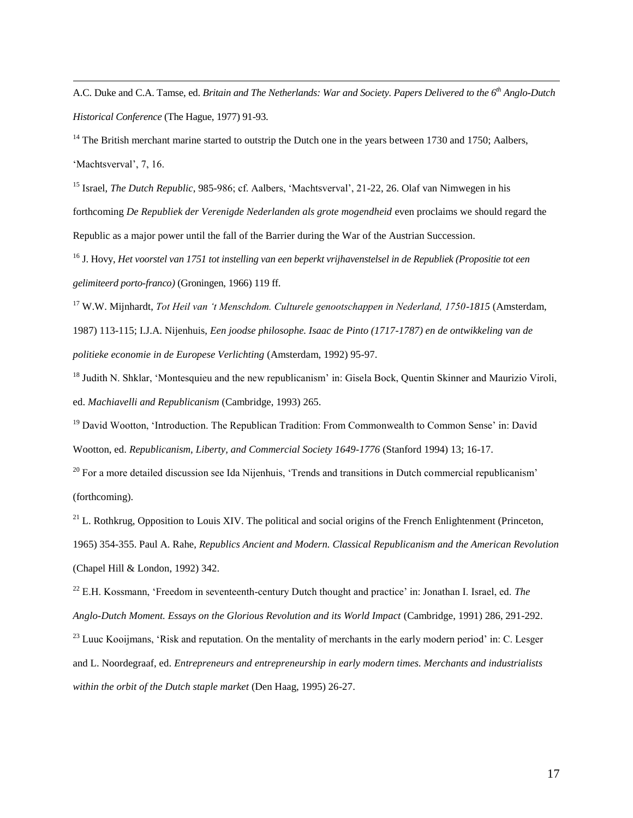A.C. Duke and C.A. Tamse, ed. *Britain and The Netherlands: War and Society. Papers Delivered to the 6th Anglo-Dutch Historical Conference* (The Hague, 1977) 91-93.

 $14$  The British merchant marine started to outstrip the Dutch one in the years between 1730 and 1750; Aalbers, 'Machtsverval', 7, 16.

 $\overline{a}$ 

<sup>15</sup> Israel, *The Dutch Republic*, 985-986; cf. Aalbers, 'Machtsverval', 21-22, 26. Olaf van Nimwegen in his forthcoming *De Republiek der Verenigde Nederlanden als grote mogendheid* even proclaims we should regard the Republic as a major power until the fall of the Barrier during the War of the Austrian Succession.

<sup>16</sup> J. Hovy, *Het voorstel van 1751 tot instelling van een beperkt vrijhavenstelsel in de Republiek (Propositie tot een gelimiteerd porto-franco)* (Groningen, 1966) 119 ff.

<sup>17</sup> W.W. Mijnhardt, *Tot Heil van 't Menschdom. Culturele genootschappen in Nederland, 1750-1815* (Amsterdam, 1987) 113-115; I.J.A. Nijenhuis, *Een joodse philosophe. Isaac de Pinto (1717-1787) en de ontwikkeling van de politieke economie in de Europese Verlichting* (Amsterdam, 1992) 95-97.

<sup>18</sup> Judith N. Shklar, 'Montesquieu and the new republicanism' in: Gisela Bock, Quentin Skinner and Maurizio Viroli, ed. *Machiavelli and Republicanism* (Cambridge, 1993) 265.

<sup>19</sup> David Wootton, 'Introduction. The Republican Tradition: From Commonwealth to Common Sense' in: David Wootton, ed. *Republicanism, Liberty, and Commercial Society 1649-1776* (Stanford 1994) 13; 16-17.

<sup>20</sup> For a more detailed discussion see Ida Nijenhuis, 'Trends and transitions in Dutch commercial republicanism' (forthcoming).

 $^{21}$  L. Rothkrug, Opposition to Louis XIV. The political and social origins of the French Enlightenment (Princeton, 1965) 354-355. Paul A. Rahe, *Republics Ancient and Modern. Classical Republicanism and the American Revolution* (Chapel Hill & London, 1992) 342.

<sup>22</sup> E.H. Kossmann, 'Freedom in seventeenth-century Dutch thought and practice' in: Jonathan I. Israel, ed. *The Anglo-Dutch Moment. Essays on the Glorious Revolution and its World Impact* (Cambridge, 1991) 286, 291-292.

<sup>23</sup> Luuc Kooijmans, 'Risk and reputation. On the mentality of merchants in the early modern period' in: C. Lesger and L. Noordegraaf, ed. *Entrepreneurs and entrepreneurship in early modern times. Merchants and industrialists within the orbit of the Dutch staple market* (Den Haag, 1995) 26-27.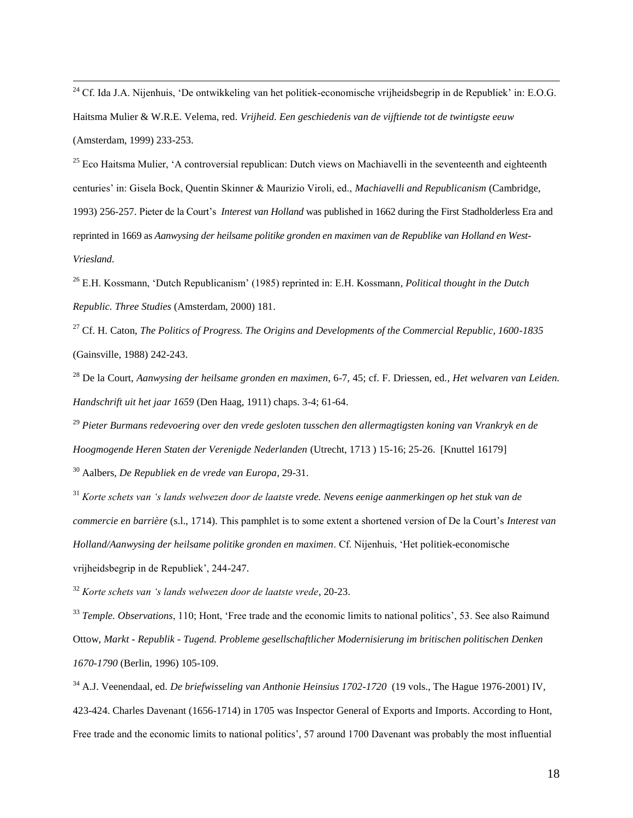$^{24}$  Cf. Ida J.A. Nijenhuis, 'De ontwikkeling van het politiek-economische vrijheidsbegrip in de Republiek' in: E.O.G. Haitsma Mulier & W.R.E. Velema, red. *Vrijheid. Een geschiedenis van de vijftiende tot de twintigste eeuw* (Amsterdam, 1999) 233-253.

<sup>25</sup> Eco Haitsma Mulier, 'A controversial republican: Dutch views on Machiavelli in the seventeenth and eighteenth centuries' in: Gisela Bock, Quentin Skinner & Maurizio Viroli, ed., *Machiavelli and Republicanism* (Cambridge, 1993) 256-257. Pieter de la Court's *Interest van Holland* was published in 1662 during the First Stadholderless Era and reprinted in 1669 as *Aanwysing der heilsame politike gronden en maximen van de Republike van Holland en West-Vriesland*.

<sup>26</sup> E.H. Kossmann, 'Dutch Republicanism' (1985) reprinted in: E.H. Kossmann*, Political thought in the Dutch Republic. Three Studies* (Amsterdam, 2000) 181.

<sup>27</sup> Cf. H. Caton, *The Politics of Progress. The Origins and Developments of the Commercial Republic, 1600-1835* (Gainsville, 1988) 242-243.

<sup>28</sup> De la Court, *Aanwysing der heilsame gronden en maximen*, 6-7, 45; cf. F. Driessen, ed*., Het welvaren van Leiden. Handschrift uit het jaar 1659* (Den Haag, 1911) chaps. 3-4; 61-64.

<sup>29</sup> *Pieter Burmans redevoering over den vrede gesloten tusschen den allermagtigsten koning van Vrankryk en de Hoogmogende Heren Staten der Verenigde Nederlanden* (Utrecht, 1713 ) 15-16; 25-26. [Knuttel 16179] <sup>30</sup> Aalbers, *De Republiek en de vrede van Europa*, 29-31.

<sup>31</sup> *Korte schets van 's lands welwezen door de laatste vrede. Nevens eenige aanmerkingen op het stuk van de commercie en barrière* (s.l., 1714). This pamphlet is to some extent a shortened version of De la Court's *Interest van Holland/Aanwysing der heilsame politike gronden en maximen*. Cf. Nijenhuis, 'Het politiek-economische vrijheidsbegrip in de Republiek', 244-247.

<sup>32</sup> *Korte schets van 's lands welwezen door de laatste vrede*, 20-23.

 $\overline{a}$ 

<sup>33</sup> *Temple. Observations*, 110; Hont, 'Free trade and the economic limits to national politics', 53. See also Raimund Ottow, *Markt - Republik - Tugend. Probleme gesellschaftlicher Modernisierung im britischen politischen Denken 1670-1790* (Berlin, 1996) 105-109.

<sup>&</sup>lt;sup>34</sup> A.J. Veenendaal, ed. *De briefwisseling van Anthonie Heinsius 1702-1720* (19 vols., The Hague 1976-2001) IV, 423-424. Charles Davenant (1656-1714) in 1705 was Inspector General of Exports and Imports. According to Hont, Free trade and the economic limits to national politics', 57 around 1700 Davenant was probably the most influential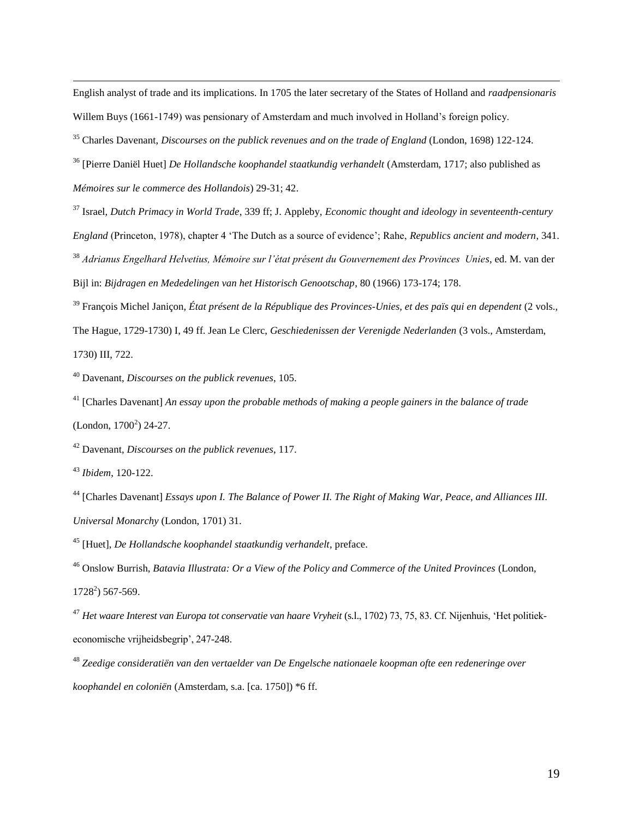English analyst of trade and its implications. In 1705 the later secretary of the States of Holland and *raadpensionaris* Willem Buys (1661-1749) was pensionary of Amsterdam and much involved in Holland's foreign policy.

<sup>35</sup> Charles Davenant, *Discourses on the publick revenues and on the trade of England* (London, 1698) 122-124.

<sup>36</sup> [Pierre Daniël Huet] *De Hollandsche koophandel staatkundig verhandelt* (Amsterdam, 1717; also published as *Mémoires sur le commerce des Hollandois*) 29-31; 42.

<sup>37</sup> Israel, *Dutch Primacy in World Trade*, 339 ff; J. Appleby, *Economic thought and ideology in seventeenth-century England* (Princeton, 1978), chapter 4 'The Dutch as a source of evidence'; Rahe, *Republics ancient and modern*, 341. <sup>38</sup> *Adrianus Engelhard Helvetius, Mémoire sur l'état présent du Gouvernement des Provinces Unies*, ed. M. van der Bijl in: *Bijdragen en Mededelingen van het Historisch Genootschap*, 80 (1966) 173-174; 178.

<sup>39</sup> François Michel Janiçon, État présent de la République des Provinces-Unies, et des païs qui en dependent (2 vols., The Hague, 1729-1730) I, 49 ff. Jean Le Clerc, *Geschiedenissen der Verenigde Nederlanden* (3 vols., Amsterdam, 1730) III, 722.

<sup>40</sup> Davenant, *Discourses on the publick revenues*, 105.

<sup>41</sup> [Charles Davenant] *An essay upon the probable methods of making a people gainers in the balance of trade*  $(London, 1700<sup>2</sup>)$  24-27.

<sup>42</sup> Davenant, *Discourses on the publick revenues*, 117.

 $\overline{a}$ 

<sup>44</sup> [Charles Davenant] *Essays upon I. The Balance of Power II. The Right of Making War, Peace, and Alliances III. Universal Monarchy* (London, 1701) 31.

<sup>45</sup> [Huet], *De Hollandsche koophandel staatkundig verhandelt*, preface.

<sup>46</sup> Onslow Burrish, *Batavia Illustrata: Or a View of the Policy and Commerce of the United Provinces (London,*  $1728^2$ ) 567-569.

<sup>47</sup> *Het waare Interest van Europa tot conservatie van haare Vryheit* (s.l., 1702) 73, 75, 83, Cf. Nijenhuis, 'Het politiekeconomische vrijheidsbegrip', 247-248.

<sup>48</sup> *Zeedige consideratiën van den vertaelder van De Engelsche nationaele koopman ofte een redeneringe over koophandel en coloniën* (Amsterdam, s.a. [ca. 1750]) \*6 ff.

<sup>43</sup> *Ibidem*, 120-122.